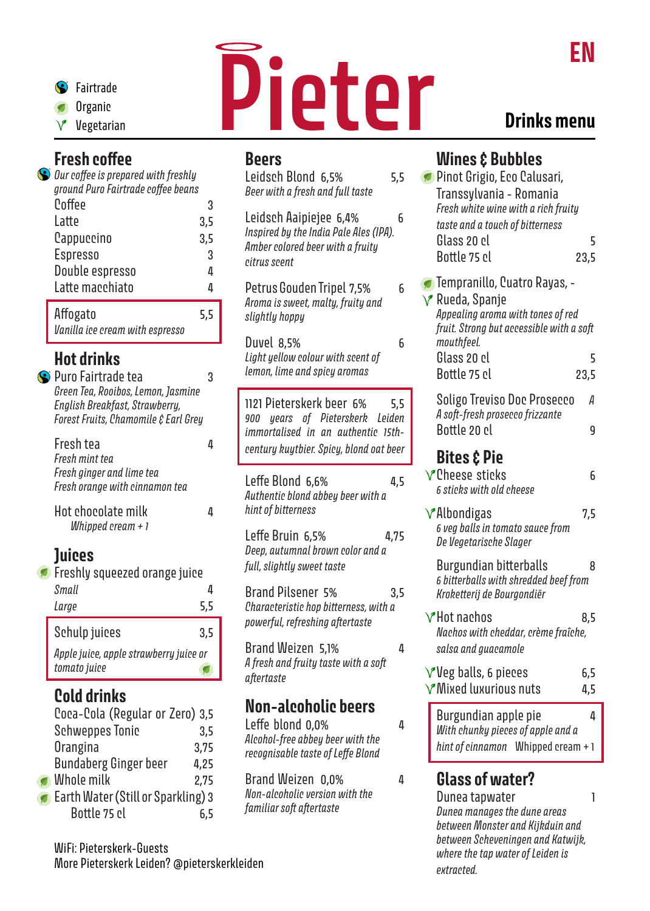

- **Organic**
- 

#### Fresh coffee *Our coffee is prepared with freshly*

| ground Puro Fairtrade coffee beans |     |
|------------------------------------|-----|
| Coffee                             | 3   |
| Latte                              | 3,5 |
| Cappuccino                         | 3,5 |
| <b>Espresso</b>                    | 3   |
| Double espresso                    | 4   |
| Latte macchiato                    | Δ   |
| Affogato                           | 5,5 |
| Vanilla ice cream with espresso    |     |

## Hot drinks

| S Puro Fairtrade tea<br>Green Tea, Rooibos, Lemon, Jasmine<br>English Breakfast, Strawberry,<br>Forest Fruits, Chamomile & Earl Grey | 3        |
|--------------------------------------------------------------------------------------------------------------------------------------|----------|
| Fresh tea<br>Fresh mint tea<br>Fresh ginger and lime tea<br>Fresh orange with cinnamon tea                                           | Д        |
| Hot chocolate milk<br>Whipped cream + 1                                                                                              | Д        |
| <b>Juices</b><br>Freshly squeezed orange juice<br><b>Small</b><br>Large                                                              | 4<br>5,5 |
| Schulp juices                                                                                                                        | 3,5      |
| Apple juice, apple strawberry juice or<br>tomato juice                                                                               |          |
| Cold drinks<br>Coca-Cola (Regular or Zero) 3.5                                                                                       |          |

| Coca-Cola (Regular or Zero) 3,5    |      |
|------------------------------------|------|
| <b>Schweppes Tonic</b>             | 3,5  |
| Orangina                           | 3,75 |
| <b>Bundaberg Ginger beer</b>       | 4,25 |
| $\bullet$ Whole milk               | 2.75 |
| Earth Water (Still or Sparkling) 3 |      |
| Bottle 75 cl                       | 6,5  |

WiFi: Pieterskerk-Guests More Pieterskerk Leiden? @pieterskerkleiden



*Beer with a fresh and full taste*

*Amber colored beer with a fruity* 

*Aroma is sweet, malty, fruity and* 

*Light yellow colour with scent of lemon, lime and spicy aromas*

*Authentic blond abbey beer with a* 

*Deep, autumnal brown color and a* 

*powerful, refreshing aftertaste*

*A fresh and fruity taste with a soft* 

Non-alcoholic beers

Leffe blond 0,0% 4 *Alcohol-free abbey beer with the recognisable taste of Leffe Blond*

Brand Weizen 0,0% 4

*Non-alcoholic version with the* 

*familiar soft aftertaste*

*full, slightly sweet taste*

*hint of bitterness*

*aftertaste*

Beers

*citrus scent*

*slightly hoppy*

# Drinks menu

#### Leidsch Blond 6,5% 5,5 Leidsch Aaipiejee 6,4% 6 *Inspired by the India Pale Ales (IPA).*  Petrus Gouden Tripel 7.5% 6 Duvel 8,5% 6 1121 Pieterskerk beer 6% 5,5 *900 years of Pieterskerk Leiden immortalised in an authentic 15thcentury kuytbier. Spicy, blond oat beer* Leffe Blond 6,6% 4,5 Leffe Bruin 6,5% 4,75 Brand Pilsener 5% 3,5 *Characteristic hop bitterness, with a*  Brand Weizen 5,1% 4 Wines & Bubbles Pinot Grigio, Eco Calusari, Transsylvania - Romania *Fresh white wine with a rich fruity taste and a touch of bitterness*   $G$ lass 20 cl  $\overline{5}$ Bottle 75 cl 23,5 **Tempranillo, Cuatro Rayas, -⊘ Rueda, Spanie** *Appealing aroma with tones of red fruit. Strong but accessible with a soft mouthfeel.*   $G$ lass 20  $c$ l  $\overline{5}$ Bottle 75 cl 23,5 Soligo Treviso Doc Prosecco *A A soft-fresh prosecco frizzante*  Bottle 20 cl **9** Bites & Pie  $\sqrt{\phantom{a}}$ Cheese sticks 6 *6 sticks with old cheese*  $\sqrt{\phantom{a}}$ Albondigas 7,5 *6 veg balls in tomato sauce from De Vegetarische Slager* Burgundian bitterballs 8 *6 bitterballs with shredded beef from Kroketterij de Bourgondiër*   $V$ Hot nachos 8,5 *Nachos with cheddar, crème fraîche, salsa and guacamole*  $V$ Veg balls, 6 pieces 6,5  $\sqrt{\ }$ Mixed luxurious nuts 4.5

Burgundian apple pie 4 *With chunky pieces of apple and a hint of cinnamon* Whipped cream + 1 ſ

### Glass of water?

Dunea tapwater **1** *Dunea manages the dune areas between Monster and Kijkduin and between Scheveningen and Katwijk, where the tap water of Leiden is extracted.*